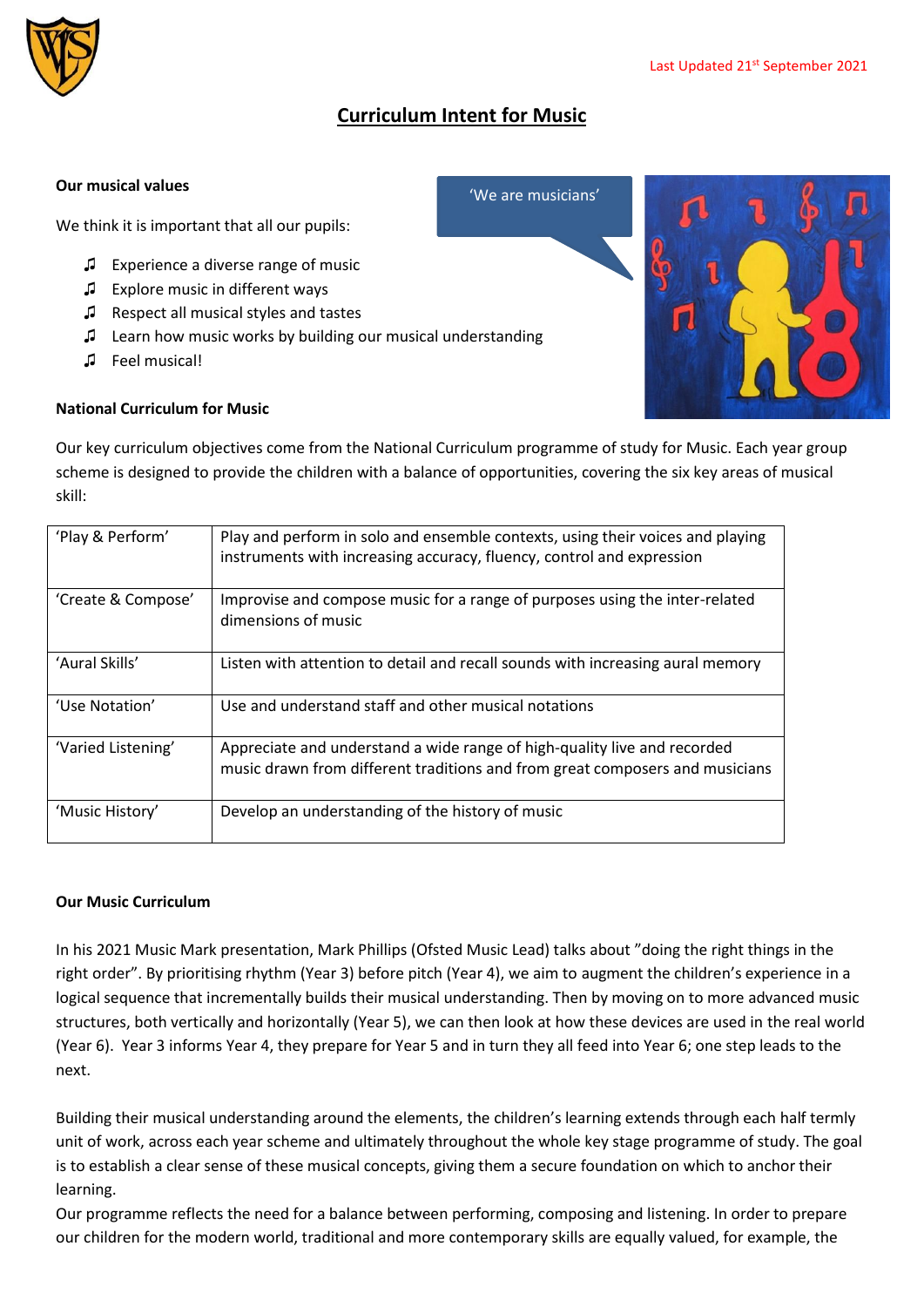

## **Curriculum Intent for Music**

'We are musicians'

## **Our musical values**

We think it is important that all our pupils:

- ♫ Experience a diverse range of music
- ♫ Explore music in different ways
- ♫ Respect all musical styles and tastes
- ♫ Learn how music works by building our musical understanding
- ♫ Feel musical!

## **National Curriculum for Music**

Our key curriculum objectives come from the National Curriculum programme of study for Music. Each year group scheme is designed to provide the children with a balance of opportunities, covering the six key areas of musical skill:

| 'Play & Perform'   | Play and perform in solo and ensemble contexts, using their voices and playing<br>instruments with increasing accuracy, fluency, control and expression  |
|--------------------|----------------------------------------------------------------------------------------------------------------------------------------------------------|
| 'Create & Compose' | Improvise and compose music for a range of purposes using the inter-related<br>dimensions of music                                                       |
| 'Aural Skills'     | Listen with attention to detail and recall sounds with increasing aural memory                                                                           |
| 'Use Notation'     | Use and understand staff and other musical notations                                                                                                     |
| 'Varied Listening' | Appreciate and understand a wide range of high-quality live and recorded<br>music drawn from different traditions and from great composers and musicians |
| 'Music History'    | Develop an understanding of the history of music                                                                                                         |

## **Our Music Curriculum**

In his 2021 Music Mark presentation, Mark Phillips (Ofsted Music Lead) talks about "doing the right things in the right order". By prioritising rhythm (Year 3) before pitch (Year 4), we aim to augment the children's experience in a logical sequence that incrementally builds their musical understanding. Then by moving on to more advanced music structures, both vertically and horizontally (Year 5), we can then look at how these devices are used in the real world (Year 6). Year 3 informs Year 4, they prepare for Year 5 and in turn they all feed into Year 6; one step leads to the next.

Building their musical understanding around the elements, the children's learning extends through each half termly unit of work, across each year scheme and ultimately throughout the whole key stage programme of study. The goal is to establish a clear sense of these musical concepts, giving them a secure foundation on which to anchor their learning.

Our programme reflects the need for a balance between performing, composing and listening. In order to prepare our children for the modern world, traditional and more contemporary skills are equally valued, for example, the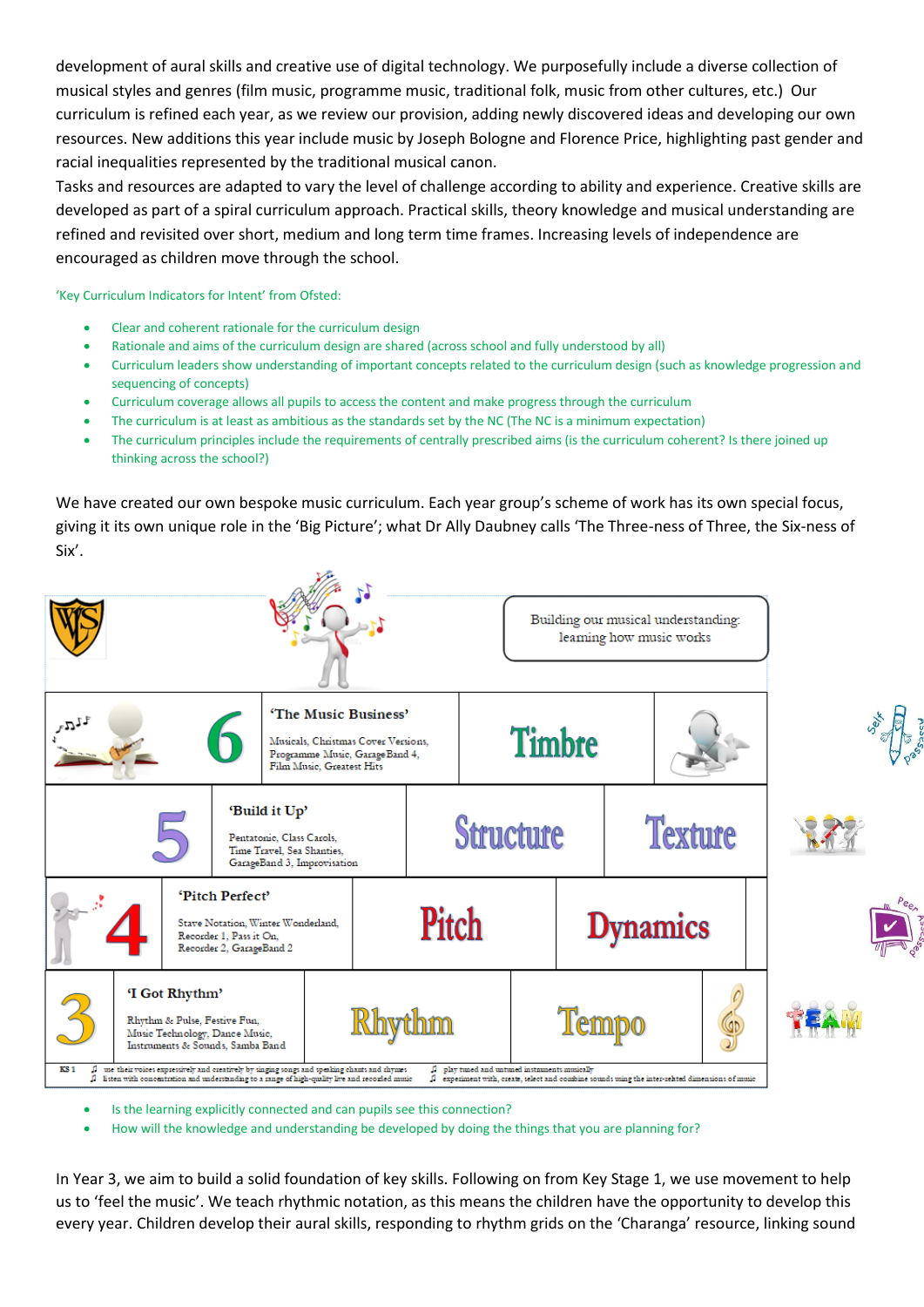development of aural skills and creative use of digital technology. We purposefully include a diverse collection of musical styles and genres (film music, programme music, traditional folk, music from other cultures, etc.) Our curriculum is refined each year, as we review our provision, adding newly discovered ideas and developing our own resources. New additions this year include music by Joseph Bologne and Florence Price, highlighting past gender and racial inequalities represented by the traditional musical canon.

Tasks and resources are adapted to vary the level of challenge according to ability and experience. Creative skills are developed as part of a spiral curriculum approach. Practical skills, theory knowledge and musical understanding are refined and revisited over short, medium and long term time frames. Increasing levels of independence are encouraged as children move through the school.

'Key Curriculum Indicators for Intent' from Ofsted:

- Clear and coherent rationale for the curriculum design
- Rationale and aims of the curriculum design are shared (across school and fully understood by all)
- Curriculum leaders show understanding of important concepts related to the curriculum design (such as knowledge progression and sequencing of concepts)
- Curriculum coverage allows all pupils to access the content and make progress through the curriculum
- The curriculum is at least as ambitious as the standards set by the NC (The NC is a minimum expectation)
- The curriculum principles include the requirements of centrally prescribed aims (is the curriculum coherent? Is there joined up thinking across the school?)

We have created our own bespoke music curriculum. Each year group's scheme of work has its own special focus, giving it its own unique role in the 'Big Picture'; what Dr Ally Daubney calls 'The Three-ness of Three, the Six-ness of Six'.



- Is the learning explicitly connected and can pupils see this connection?
- How will the knowledge and understanding be developed by doing the things that you are planning for?

In Year 3, we aim to build a solid foundation of key skills. Following on from Key Stage 1, we use movement to help us to 'feel the music'. We teach rhythmic notation, as this means the children have the opportunity to develop this every year. Children develop their aural skills, responding to rhythm grids on the 'Charanga' resource, linking sound